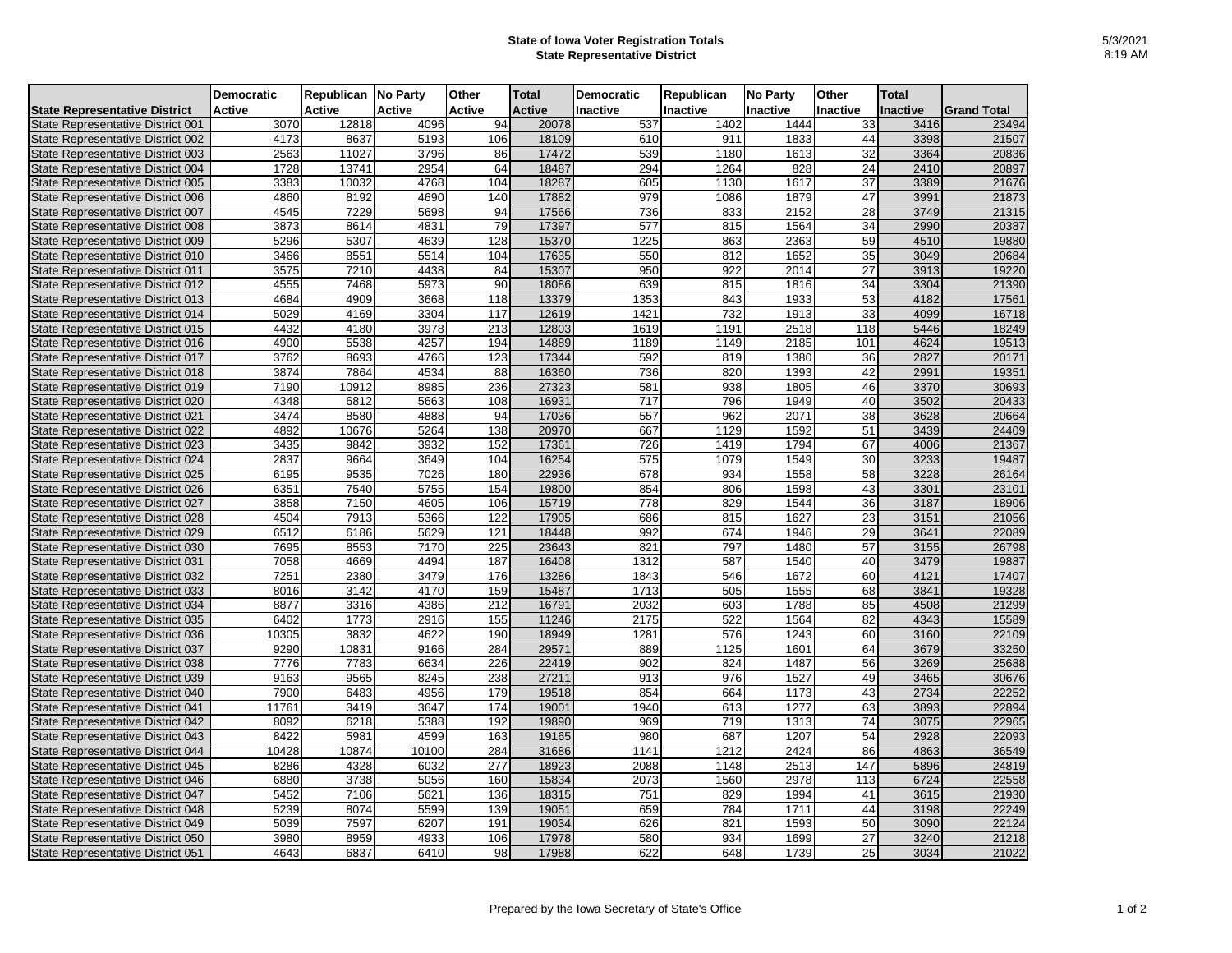## **State of Iowa Voter Registration Totals State Representative District**

|                                          | <b>Democratic</b> | Republican No Party |               | Other            | <b>Total</b>  | <b>Democratic</b> | Republican | <b>No Party</b> | Other           | <b>Total</b> |                    |
|------------------------------------------|-------------------|---------------------|---------------|------------------|---------------|-------------------|------------|-----------------|-----------------|--------------|--------------------|
| <b>State Representative District</b>     | <b>Active</b>     | Active              | <b>Active</b> | Active           | <b>Active</b> | Inactive          | Inactive   | Inactive        | Inactive        | Inactive     | <b>Grand Total</b> |
| State Representative District 001        | 3070              | 12818               | 4096          | 94               | 20078         | 537               | 1402       | 1444            | 33              | 3416         | 23494              |
| State Representative District 002        | 4173              | 8637                | 5193          | 106              | 18109         | 610               | 911        | 1833            | 44              | 3398         | 21507              |
| State Representative District 003        | 2563              | 11027               | 3796          | 86               | 17472         | 539               | 1180       | 1613            | 32              | 3364         | 20836              |
| State Representative District 004        | 1728              | 13741               | 2954          | 64               | 18487         | 294               | 1264       | 828             | 24              | 2410         | 20897              |
| State Representative District 005        | 3383              | 10032               | 4768          | 104              | 18287         | 605               | 1130       | 1617            | 37              | 3389         | 21676              |
| State Representative District 006        | 4860              | 8192                | 4690          | 140              | 17882         | 979               | 1086       | 1879            | 47              | 3991         | 21873              |
| State Representative District 007        | 4545              | 7229                | 5698          | 94               | 17566         | 736               | 833        | 2152            | 28              | 3749         | 21315              |
| State Representative District 008        | 3873              | 8614                | 4831          | 79               | 17397         | 577               | 815        | 1564            | 34              | 2990         | 20387              |
| State Representative District 009        | 5296              | 5307                | 4639          | 128              | 15370         | 1225              | 863        | 2363            | 59              | 4510         | 19880              |
| State Representative District 010        | 3466              | 8551                | 5514          | 104              | 17635         | 550               | 812        | 1652            | 35              | 3049         | 20684              |
| State Representative District 011        | 3575              | 7210                | 4438          | 84               | 15307         | 950               | 922        | 2014            | 27              | 3913         | 19220              |
| State Representative District 012        | 4555              | 7468                | 5973          | 90               | 18086         | 639               | 815        | 1816            | 34              | 3304         | 21390              |
| State Representative District 013        | 4684              | 4909                | 3668          | 118              | 13379         | 1353              | 843        | 1933            | 53              | 4182         | 17561              |
| State Representative District 014        | 5029              | 4169                | 3304          | $\overline{117}$ | 12619         | 1421              | 732        | 1913            | 33              | 4099         | 16718              |
| State Representative District 015        | 4432              | 4180                | 3978          | 213              | 12803         | 1619              | 1191       | 2518            | 118             | 5446         | 18249              |
| State Representative District 016        | 4900              | 5538                | 4257          | 194              | 14889         | 1189              | 1149       | 2185            | 101             | 4624         | 19513              |
| State Representative District 017        | 3762              | 8693                | 4766          | 123              | 17344         | 592               | 819        | 1380            | 36              | 2827         | 20171              |
| State Representative District 018        | 3874              | 7864                | 4534          | 88               | 16360         | 736               | 820        | 1393            | 42              | 2991         | 19351              |
| State Representative District 019        | 7190              | 10912               | 8985          | 236              | 27323         | 581               | 938        | 1805            | 46              | 3370         | 30693              |
| State Representative District 020        | 4348              | 6812                | 5663          | 108              | 16931         | $\overline{717}$  | 796        | 1949            | 40              | 3502         | 20433              |
| State Representative District 021        | 3474              | 8580                | 4888          | 94               | 17036         | 557               | 962        | 2071            | 38              | 3628         | 20664              |
| State Representative District 022        | 4892              | 10676               | 5264          | 138              | 20970         | 667               | 1129       | 1592            | 51              | 3439         | 24409              |
| State Representative District 023        | 3435              | 9842                | 3932          | 152              | 17361         | 726               | 1419       | 1794            | 67              | 4006         | 21367              |
| <b>State Representative District 024</b> | 2837              | 9664                | 3649          | 104              | 16254         | 575               | 1079       | 1549            | 30              | 3233         | 19487              |
| State Representative District 025        | 6195              | 9535                | 7026          | 180              | 22936         | 678               | 934        | 1558            | 58              | 3228         | 26164              |
| State Representative District 026        | 6351              | 7540                | 5755          | 154              | 19800         | 854               | 806        | 1598            | 43              | 3301         | 23101              |
| State Representative District 027        | 3858              | 7150                | 4605          | 106              | 15719         | 778               | 829        | 1544            | 36              | 3187         | 18906              |
| State Representative District 028        | 4504              | 7913                | 5366          | 122              | 17905         | 686               | 815        | 1627            | 23              | 3151         | 21056              |
| State Representative District 029        | 6512              | 6186                | 5629          | 121              | 18448         | 992               | 674        | 1946            | 29              | 3641         | 22089              |
| State Representative District 030        | 7695              | 8553                | 7170          | 225              | 23643         | 821               | 797        | 1480            | 57              | 3155         | 26798              |
| State Representative District 031        | 7058              | 4669                | 4494          | 187              | 16408         | 1312              | 587        | 1540            | 40              | 3479         | 19887              |
| State Representative District 032        | 7251              | 2380                | 3479          | 176              | 13286         | 1843              | 546        | 1672            | 60              | 4121         | 17407              |
| State Representative District 033        | 8016              | 3142                | 4170          | 159              | 15487         | 1713              | 505        | 1555            | 68              | 3841         | 19328              |
| State Representative District 034        | 8877              | 3316                | 4386          | 212              | 16791         | 2032              | 603        | 1788            | 85              | 4508         | 21299              |
| State Representative District 035        | 6402              | 1773                | 2916          | 155              | 11246         | 2175              | 522        | 1564            | 82              | 4343         | 15589              |
| State Representative District 036        | 10305             | 3832                | 4622          | 190              | 18949         | 1281              | 576        | 1243            | 60              | 3160         | 22109              |
| State Representative District 037        | 9290              | 10831               | 9166          | 284              | 29571         | 889               | 1125       | 1601            | 64              | 3679         | 33250              |
| State Representative District 038        | 7776              | 7783                | 6634          | 226              | 22419         | 902               | 824        | 1487            | 56              | 3269         | 25688              |
| State Representative District 039        | 9163              | 9565                | 8245          | 238              | 27211         | 913               | 976        | 1527            | 49              | 3465         | 30676              |
| State Representative District 040        | 7900              | 6483                | 4956          | 179              | 19518         | 854               | 664        | 1173            | 43              | 2734         | 22252              |
| State Representative District 041        | 11761             | 3419                | 3647          | 174              | 19001         | 1940              | 613        | 1277            | 63              | 3893         | 22894              |
| State Representative District 042        | 8092              | 6218                | 5388          | 192              | 19890         | 969               | 719        | 1313            | 74              | 3075         | 22965              |
| State Representative District 043        | 8422              | 5981                | 4599          | 163              | 19165         | 980               | 687        | 1207            | 54              | 2928         | 22093              |
| State Representative District 044        | 10428             | 10874               | 10100         | 284              | 31686         | 1141              | 1212       | 2424            | 86              | 4863         | 36549              |
| State Representative District 045        | 8286              | 4328                | 6032          | 277              | 18923         | 2088              | 1148       | 2513            | 147             | 5896         | 24819              |
| State Representative District 046        | 6880              | 3738                | 5056          | 160              | 15834         | 2073              | 1560       | 2978            | 113             | 6724         | 22558              |
| State Representative District 047        | 5452              | 7106                | 5621          | 136              | 18315         | 751               | 829        | 1994            | 41              | 3615         | 21930              |
| State Representative District 048        | 5239              | 8074                | 5599          | 139              | 19051         | 659               | 784        | 1711            | 44              | 3198         | 22249              |
| State Representative District 049        | 5039              | 7597                | 6207          | 191              | 19034         | 626               | 821        | 1593            | 50              | 3090         | 22124              |
| State Representative District 050        | 3980              | 8959                | 4933          | 106              | 17978         | 580               | 934        | 1699            | $\overline{27}$ | 3240         | 21218              |
| State Representative District 051        | 4643              | 6837                | 6410          | 98               | 17988         | 622               | 648        | 1739            | 25              | 3034         | 21022              |